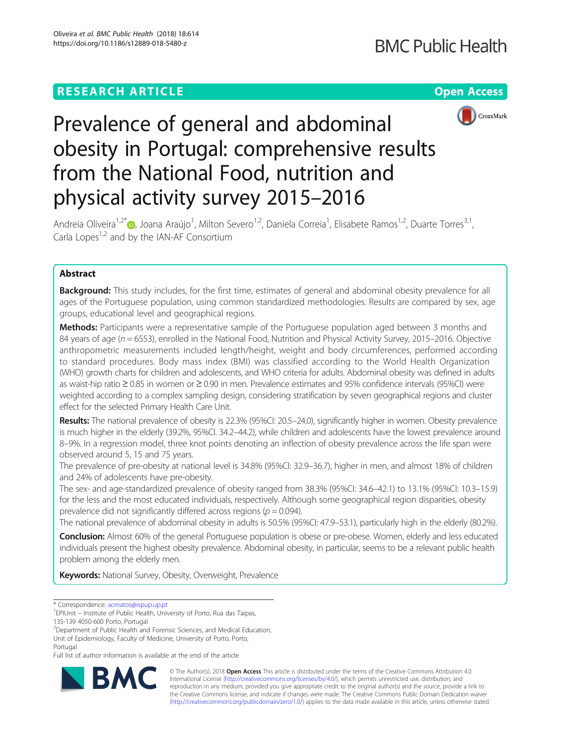## **RESEARCH ARTICLE Example 2014 12:30 The Contract of Contract ACCESS**



# Prevalence of general and abdominal obesity in Portugal: comprehensive results from the National Food, nutrition and physical activity survey 2015–2016

Andreia Oliveira<sup>1[,](http://orcid.org/0000-0002-6714-5939)2\*</sup>®, Joana Araújo<sup>1</sup>, Milton Severo<sup>1,2</sup>, Daniela Correia<sup>1</sup>, Elisabete Ramos<sup>1,2</sup>, Duarte Torres<sup>3,1</sup>, Carla Lopes $1,2$  and by the IAN-AF Consortium

## Abstract

**Background:** This study includes, for the first time, estimates of general and abdominal obesity prevalence for all ages of the Portuguese population, using common standardized methodologies. Results are compared by sex, age groups, educational level and geographical regions.

**Methods:** Participants were a representative sample of the Portuguese population aged between 3 months and 84 years of age (n = 6553), enrolled in the National Food, Nutrition and Physical Activity Survey, 2015–2016. Objective anthropometric measurements included length/height, weight and body circumferences, performed according to standard procedures. Body mass index (BMI) was classified according to the World Health Organization (WHO) growth charts for children and adolescents, and WHO criteria for adults. Abdominal obesity was defined in adults as waist-hip ratio ≥ 0.85 in women or ≥ 0.90 in men. Prevalence estimates and 95% confidence intervals (95%CI) were weighted according to a complex sampling design, considering stratification by seven geographical regions and cluster effect for the selected Primary Health Care Unit.

Results: The national prevalence of obesity is 22.3% (95%CI: 20.5–24.0), significantly higher in women. Obesity prevalence is much higher in the elderly (39.2%, 95%CI. 34.2–44.2), while children and adolescents have the lowest prevalence around 8–9%. In a regression model, three knot points denoting an inflection of obesity prevalence across the life span were observed around 5, 15 and 75 years.

The prevalence of pre-obesity at national level is 34.8% (95%CI: 32.9–36.7), higher in men, and almost 18% of children and 24% of adolescents have pre-obesity.

The sex- and age-standardized prevalence of obesity ranged from 38.3% (95%CI: 34.6–42.1) to 13.1% (95%CI: 10.3–15.9) for the less and the most educated individuals, respectively. Although some geographical region disparities, obesity prevalence did not significantly differed across regions ( $p = 0.094$ ).

The national prevalence of abdominal obesity in adults is 50.5% (95%CI: 47.9–53.1), particularly high in the elderly (80.2%).

Conclusion: Almost 60% of the general Portuguese population is obese or pre-obese. Women, elderly and less educated individuals present the highest obesity prevalence. Abdominal obesity, in particular, seems to be a relevant public health problem among the elderly men.

Keywords: National Survey, Obesity, Overweight, Prevalence

<sup>2</sup>Department of Public Health and Forensic Sciences, and Medical Education, Unit of Epidemiology, Faculty of Medicine, University of Porto, Porto,

Full list of author information is available at the end of the article



© The Author(s). 2018 Open Access This article is distributed under the terms of the Creative Commons Attribution 4.0 International License [\(http://creativecommons.org/licenses/by/4.0/](http://creativecommons.org/licenses/by/4.0/)), which permits unrestricted use, distribution, and reproduction in any medium, provided you give appropriate credit to the original author(s) and the source, provide a link to the Creative Commons license, and indicate if changes were made. The Creative Commons Public Domain Dedication waiver [\(http://creativecommons.org/publicdomain/zero/1.0/](http://creativecommons.org/publicdomain/zero/1.0/)) applies to the data made available in this article, unless otherwise stated.

<sup>\*</sup> Correspondence: [acmatos@ispup.up.pt](mailto:acmatos@ispup.up.pt) <sup>1</sup>

<sup>&</sup>lt;sup>1</sup>EPIUnit – Institute of Public Health, University of Porto, Rua das Taipas,

<sup>135-139 4050-600</sup> Porto, Portugal

Portugal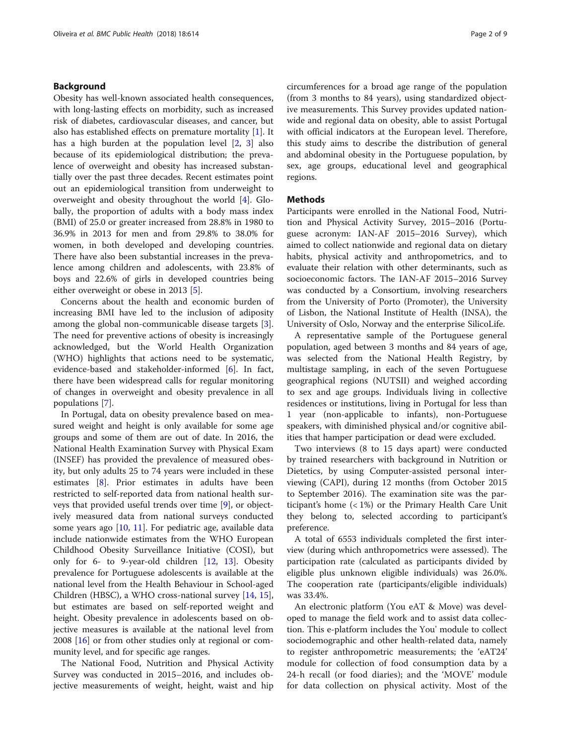## Background

Obesity has well-known associated health consequences, with long-lasting effects on morbidity, such as increased risk of diabetes, cardiovascular diseases, and cancer, but also has established effects on premature mortality [[1\]](#page-8-0). It has a high burden at the population level [\[2](#page-8-0), [3](#page-8-0)] also because of its epidemiological distribution; the prevalence of overweight and obesity has increased substantially over the past three decades. Recent estimates point out an epidemiological transition from underweight to overweight and obesity throughout the world [\[4](#page-8-0)]. Globally, the proportion of adults with a body mass index (BMI) of 25.0 or greater increased from 28.8% in 1980 to 36.9% in 2013 for men and from 29.8% to 38.0% for women, in both developed and developing countries. There have also been substantial increases in the prevalence among children and adolescents, with 23.8% of boys and 22.6% of girls in developed countries being either overweight or obese in 2013 [[5\]](#page-8-0).

Concerns about the health and economic burden of increasing BMI have led to the inclusion of adiposity among the global non-communicable disease targets [\[3](#page-8-0)]. The need for preventive actions of obesity is increasingly acknowledged, but the World Health Organization (WHO) highlights that actions need to be systematic, evidence-based and stakeholder-informed [[6](#page-8-0)]. In fact, there have been widespread calls for regular monitoring of changes in overweight and obesity prevalence in all populations [[7\]](#page-8-0).

In Portugal, data on obesity prevalence based on measured weight and height is only available for some age groups and some of them are out of date. In 2016, the National Health Examination Survey with Physical Exam (INSEF) has provided the prevalence of measured obesity, but only adults 25 to 74 years were included in these estimates [\[8](#page-8-0)]. Prior estimates in adults have been restricted to self-reported data from national health surveys that provided useful trends over time [[9\]](#page-8-0), or objectively measured data from national surveys conducted some years ago  $[10, 11]$  $[10, 11]$  $[10, 11]$  $[10, 11]$ . For pediatric age, available data include nationwide estimates from the WHO European Childhood Obesity Surveillance Initiative (COSI), but only for 6- to 9-year-old children [[12](#page-8-0), [13\]](#page-8-0). Obesity prevalence for Portuguese adolescents is available at the national level from the Health Behaviour in School-aged Children (HBSC), a WHO cross-national survey [[14](#page-8-0), [15](#page-8-0)], but estimates are based on self-reported weight and height. Obesity prevalence in adolescents based on objective measures is available at the national level from 2008 [[16](#page-8-0)] or from other studies only at regional or community level, and for specific age ranges.

The National Food, Nutrition and Physical Activity Survey was conducted in 2015–2016, and includes objective measurements of weight, height, waist and hip circumferences for a broad age range of the population (from 3 months to 84 years), using standardized objective measurements. This Survey provides updated nationwide and regional data on obesity, able to assist Portugal with official indicators at the European level. Therefore, this study aims to describe the distribution of general and abdominal obesity in the Portuguese population, by sex, age groups, educational level and geographical regions.

## **Methods**

Participants were enrolled in the National Food, Nutrition and Physical Activity Survey, 2015–2016 (Portuguese acronym: IAN-AF 2015–2016 Survey), which aimed to collect nationwide and regional data on dietary habits, physical activity and anthropometrics, and to evaluate their relation with other determinants, such as socioeconomic factors. The IAN-AF 2015–2016 Survey was conducted by a Consortium, involving researchers from the University of Porto (Promoter), the University of Lisbon, the National Institute of Health (INSA), the University of Oslo, Norway and the enterprise SilicoLife.

A representative sample of the Portuguese general population, aged between 3 months and 84 years of age, was selected from the National Health Registry, by multistage sampling, in each of the seven Portuguese geographical regions (NUTSII) and weighed according to sex and age groups. Individuals living in collective residences or institutions, living in Portugal for less than 1 year (non-applicable to infants), non-Portuguese speakers, with diminished physical and/or cognitive abilities that hamper participation or dead were excluded.

Two interviews (8 to 15 days apart) were conducted by trained researchers with background in Nutrition or Dietetics, by using Computer-assisted personal interviewing (CAPI), during 12 months (from October 2015 to September 2016). The examination site was the participant's home (< 1%) or the Primary Health Care Unit they belong to, selected according to participant's preference.

A total of 6553 individuals completed the first interview (during which anthropometrics were assessed). The participation rate (calculated as participants divided by eligible plus unknown eligible individuals) was 26.0%. The cooperation rate (participants/eligible individuals) was 33.4%.

An electronic platform (You eAT & Move) was developed to manage the field work and to assist data collection. This e-platform includes the You' module to collect sociodemographic and other health-related data, namely to register anthropometric measurements; the 'eAT24' module for collection of food consumption data by a 24-h recall (or food diaries); and the 'MOVE' module for data collection on physical activity. Most of the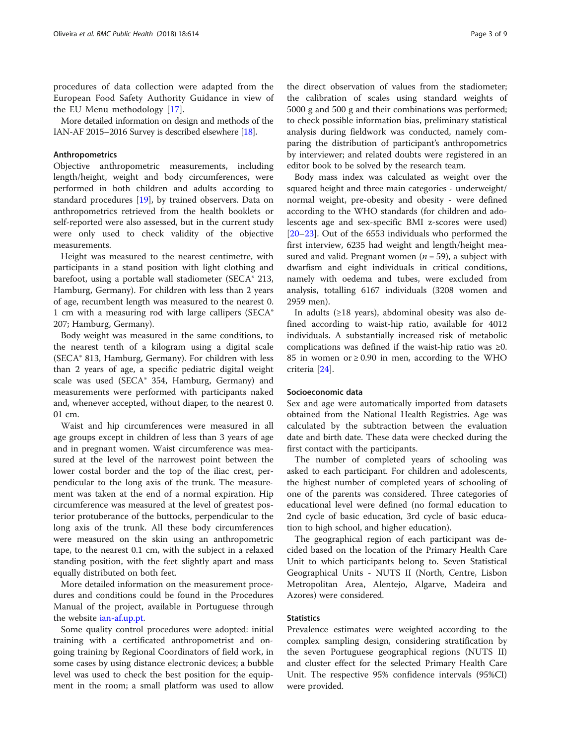procedures of data collection were adapted from the European Food Safety Authority Guidance in view of the EU Menu methodology [[17](#page-8-0)].

More detailed information on design and methods of the IAN-AF 2015–2016 Survey is described elsewhere [[18](#page-8-0)].

## Anthropometrics

Objective anthropometric measurements, including length/height, weight and body circumferences, were performed in both children and adults according to standard procedures [[19\]](#page-8-0), by trained observers. Data on anthropometrics retrieved from the health booklets or self-reported were also assessed, but in the current study were only used to check validity of the objective measurements.

Height was measured to the nearest centimetre, with participants in a stand position with light clothing and barefoot, using a portable wall stadiometer (SECA® 213, Hamburg, Germany). For children with less than 2 years of age, recumbent length was measured to the nearest 0. 1 cm with a measuring rod with large callipers (SECA® 207; Hamburg, Germany).

Body weight was measured in the same conditions, to the nearest tenth of a kilogram using a digital scale (SECA® 813, Hamburg, Germany). For children with less than 2 years of age, a specific pediatric digital weight scale was used (SECA® 354, Hamburg, Germany) and measurements were performed with participants naked and, whenever accepted, without diaper, to the nearest 0. 01 cm.

Waist and hip circumferences were measured in all age groups except in children of less than 3 years of age and in pregnant women. Waist circumference was measured at the level of the narrowest point between the lower costal border and the top of the iliac crest, perpendicular to the long axis of the trunk. The measurement was taken at the end of a normal expiration. Hip circumference was measured at the level of greatest posterior protuberance of the buttocks, perpendicular to the long axis of the trunk. All these body circumferences were measured on the skin using an anthropometric tape, to the nearest 0.1 cm, with the subject in a relaxed standing position, with the feet slightly apart and mass equally distributed on both feet.

More detailed information on the measurement procedures and conditions could be found in the Procedures Manual of the project, available in Portuguese through the website [ian-af.up.pt](http://af.up.pt).

Some quality control procedures were adopted: initial training with a certificated anthropometrist and ongoing training by Regional Coordinators of field work, in some cases by using distance electronic devices; a bubble level was used to check the best position for the equipment in the room; a small platform was used to allow

the direct observation of values from the stadiometer; the calibration of scales using standard weights of 5000 g and 500 g and their combinations was performed; to check possible information bias, preliminary statistical analysis during fieldwork was conducted, namely comparing the distribution of participant's anthropometrics by interviewer; and related doubts were registered in an editor book to be solved by the research team.

Body mass index was calculated as weight over the squared height and three main categories - underweight/ normal weight, pre-obesity and obesity - were defined according to the WHO standards (for children and adolescents age and sex-specific BMI z-scores were used) [[20](#page-8-0)–[23](#page-8-0)]. Out of the 6553 individuals who performed the first interview, 6235 had weight and length/height measured and valid. Pregnant women ( $n = 59$ ), a subject with dwarfism and eight individuals in critical conditions, namely with oedema and tubes, were excluded from analysis, totalling 6167 individuals (3208 women and 2959 men).

In adults (≥18 years), abdominal obesity was also defined according to waist-hip ratio, available for 4012 individuals. A substantially increased risk of metabolic complications was defined if the waist-hip ratio was ≥0. 85 in women or  $\geq$  0.90 in men, according to the WHO criteria [[24\]](#page-8-0).

## Socioeconomic data

Sex and age were automatically imported from datasets obtained from the National Health Registries. Age was calculated by the subtraction between the evaluation date and birth date. These data were checked during the first contact with the participants.

The number of completed years of schooling was asked to each participant. For children and adolescents, the highest number of completed years of schooling of one of the parents was considered. Three categories of educational level were defined (no formal education to 2nd cycle of basic education, 3rd cycle of basic education to high school, and higher education).

The geographical region of each participant was decided based on the location of the Primary Health Care Unit to which participants belong to. Seven Statistical Geographical Units - NUTS II (North, Centre, Lisbon Metropolitan Area, Alentejo, Algarve, Madeira and Azores) were considered.

## **Statistics**

Prevalence estimates were weighted according to the complex sampling design, considering stratification by the seven Portuguese geographical regions (NUTS II) and cluster effect for the selected Primary Health Care Unit. The respective 95% confidence intervals (95%CI) were provided.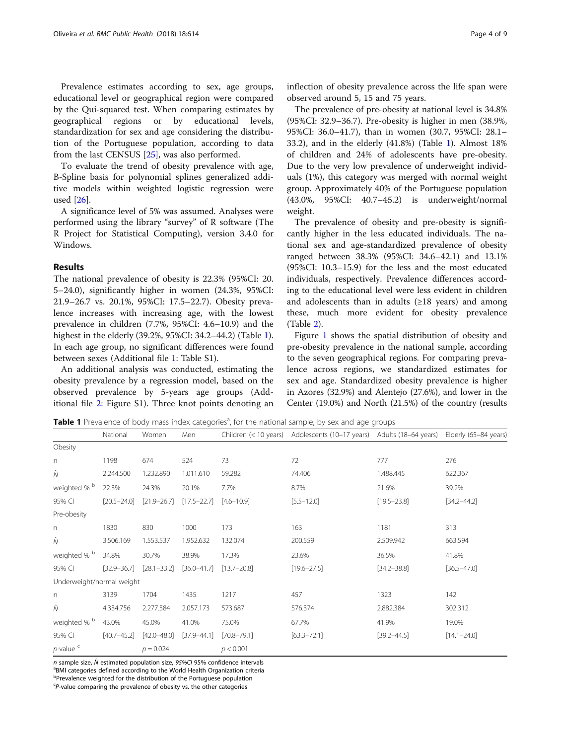Prevalence estimates according to sex, age groups, educational level or geographical region were compared by the Qui-squared test. When comparing estimates by geographical regions or by educational levels, standardization for sex and age considering the distribution of the Portuguese population, according to data from the last CENSUS [\[25](#page-8-0)], was also performed.

To evaluate the trend of obesity prevalence with age, B-Spline basis for polynomial splines generalized additive models within weighted logistic regression were used [[26](#page-8-0)].

A significance level of 5% was assumed. Analyses were performed using the library "survey" of R software (The R Project for Statistical Computing), version 3.4.0 for Windows.

## Results

The national prevalence of obesity is 22.3% (95%CI: 20. 5–24.0), significantly higher in women (24.3%, 95%CI: 21.9–26.7 vs. 20.1%, 95%CI: 17.5–22.7). Obesity prevalence increases with increasing age, with the lowest prevalence in children (7.7%, 95%CI: 4.6–10.9) and the highest in the elderly (39.2%, 95%CI: 34.2–44.2) (Table 1). In each age group, no significant differences were found between sexes (Additional file [1:](#page-7-0) Table S1).

An additional analysis was conducted, estimating the obesity prevalence by a regression model, based on the observed prevalence by 5-years age groups (Additional file [2](#page-7-0): Figure S1). Three knot points denoting an

inflection of obesity prevalence across the life span were observed around 5, 15 and 75 years.

The prevalence of pre-obesity at national level is 34.8% (95%CI: 32.9–36.7). Pre-obesity is higher in men (38.9%, 95%CI: 36.0–41.7), than in women (30.7, 95%CI: 28.1– 33.2), and in the elderly (41.8%) (Table 1). Almost 18% of children and 24% of adolescents have pre-obesity. Due to the very low prevalence of underweight individuals (1%), this category was merged with normal weight group. Approximately 40% of the Portuguese population (43.0%, 95%CI: 40.7–45.2) is underweight/normal weight.

The prevalence of obesity and pre-obesity is significantly higher in the less educated individuals. The national sex and age-standardized prevalence of obesity ranged between 38.3% (95%CI: 34.6–42.1) and 13.1% (95%CI: 10.3–15.9) for the less and the most educated individuals, respectively. Prevalence differences according to the educational level were less evident in children and adolescents than in adults  $(≥18$  years) and among these, much more evident for obesity prevalence (Table [2\)](#page-4-0).

Figure [1](#page-5-0) shows the spatial distribution of obesity and pre-obesity prevalence in the national sample, according to the seven geographical regions. For comparing prevalence across regions, we standardized estimates for sex and age. Standardized obesity prevalence is higher in Azores (32.9%) and Alentejo (27.6%), and lower in the Center (19.0%) and North (21.5%) of the country (results

Table 1 Prevalence of body mass index categories<sup>a</sup>, for the national sample, by sex and age groups

|                           | National        | Women           | Men             |                 | Children (< 10 years) Adolescents (10-17 years) Adults (18-64 years) |                 | Elderly (65-84 years) |
|---------------------------|-----------------|-----------------|-----------------|-----------------|----------------------------------------------------------------------|-----------------|-----------------------|
| Obesity                   |                 |                 |                 |                 |                                                                      |                 |                       |
| $\Gamma$                  | 1198            | 674             | 524             | 73              | 72                                                                   | 777             | 276                   |
| Ñ                         | 2.244.500       | 1.232.890       | 1.011.610       | 59.282          | 74.406                                                               | 1.488.445       | 622.367               |
| weighted % <sup>b</sup>   | 22.3%           | 24.3%           | 20.1%           | 7.7%            | 8.7%                                                                 | 21.6%           | 39.2%                 |
| 95% CI                    | $[20.5 - 24.0]$ | $[21.9 - 26.7]$ | $[17.5 - 22.7]$ | $[4.6 - 10.9]$  | $[5.5 - 12.0]$                                                       | $[19.5 - 23.8]$ | $[34.2 - 44.2]$       |
| Pre-obesity               |                 |                 |                 |                 |                                                                      |                 |                       |
| n                         | 1830            | 830             | 1000            | 173             | 163                                                                  | 1181            | 313                   |
| Ñ                         | 3.506.169       | 1.553.537       | 1.952.632       | 132.074         | 200.559                                                              | 2.509.942       | 663.594               |
| weighted % <sup>b</sup>   | 34.8%           | 30.7%           | 38.9%           | 17.3%           | 23.6%                                                                | 36.5%           | 41.8%                 |
| 95% CI                    | $[32.9 - 36.7]$ | $[28.1 - 33.2]$ | $[36.0 - 41.7]$ | $[13.7 - 20.8]$ | $[19.6 - 27.5]$                                                      | $[34.2 - 38.8]$ | $[36.5 - 47.0]$       |
| Underweight/normal weight |                 |                 |                 |                 |                                                                      |                 |                       |
| n                         | 3139            | 1704            | 1435            | 1217            | 457                                                                  | 1323            | 142                   |
| Ñ                         | 4.334.756       | 2.277.584       | 2.057.173       | 573.687         | 576.374                                                              | 2.882.384       | 302.312               |
| weighted % <sup>b</sup>   | 43.0%           | 45.0%           | 41.0%           | 75.0%           | 67.7%                                                                | 41.9%           | 19.0%                 |
| 95% CI                    | $[40.7 - 45.2]$ | $[42.0 - 48.0]$ | $[37.9 - 44.1]$ | $[70.8 - 79.1]$ | $[63.3 - 72.1]$                                                      | $[39.2 - 44.5]$ | $[14.1 - 24.0]$       |
| $p$ -value <sup>c</sup>   |                 | $p = 0.024$     |                 | p < 0.001       |                                                                      |                 |                       |

n sample size,  $\hat{N}$  estimated population size, 95%CI 95% confidence intervals <sup>a</sup>BMI categories defined according to the World Health Organization criteria <sup>b</sup>Prevalence weighted for the distribution of the Portuguese population P-value comparing the prevalence of obesity vs. the other categories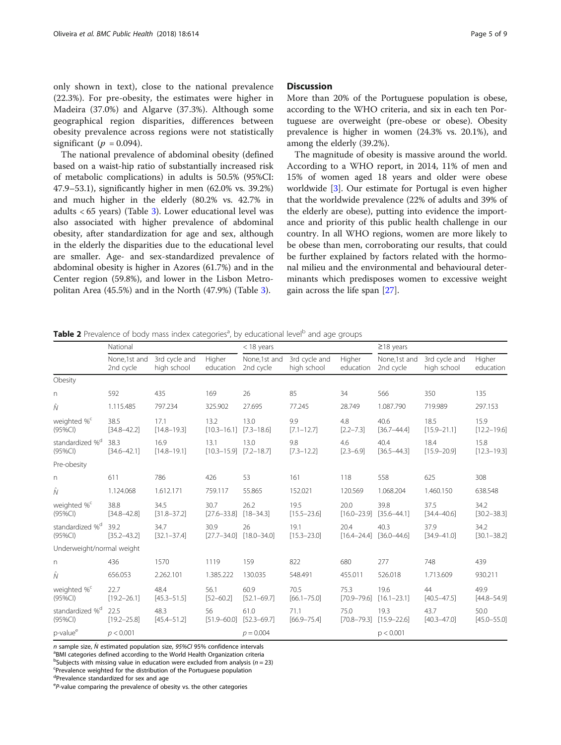<span id="page-4-0"></span>only shown in text), close to the national prevalence (22.3%). For pre-obesity, the estimates were higher in Madeira (37.0%) and Algarve (37.3%). Although some geographical region disparities, differences between obesity prevalence across regions were not statistically significant ( $p = 0.094$ ).

The national prevalence of abdominal obesity (defined based on a waist-hip ratio of substantially increased risk of metabolic complications) in adults is 50.5% (95%CI: 47.9–53.1), significantly higher in men (62.0% vs. 39.2%) and much higher in the elderly (80.2% vs. 42.7% in adults < 65 years) (Table [3\)](#page-6-0). Lower educational level was also associated with higher prevalence of abdominal obesity, after standardization for age and sex, although in the elderly the disparities due to the educational level are smaller. Age- and sex-standardized prevalence of abdominal obesity is higher in Azores (61.7%) and in the Center region (59.8%), and lower in the Lisbon Metropolitan Area (45.5%) and in the North (47.9%) (Table [3](#page-6-0)).

## **Discussion**

More than 20% of the Portuguese population is obese, according to the WHO criteria, and six in each ten Portuguese are overweight (pre-obese or obese). Obesity prevalence is higher in women (24.3% vs. 20.1%), and among the elderly (39.2%).

The magnitude of obesity is massive around the world. According to a WHO report, in 2014, 11% of men and 15% of women aged 18 years and older were obese worldwide [\[3\]](#page-8-0). Our estimate for Portugal is even higher that the worldwide prevalence (22% of adults and 39% of the elderly are obese), putting into evidence the importance and priority of this public health challenge in our country. In all WHO regions, women are more likely to be obese than men, corroborating our results, that could be further explained by factors related with the hormonal milieu and the environmental and behavioural determinants which predisposes women to excessive weight gain across the life span [[27\]](#page-8-0).

| Table 2 Prevalence of body mass index categories <sup>a</sup> , by educational level <sup>b</sup> and age groups |
|------------------------------------------------------------------------------------------------------------------|
|------------------------------------------------------------------------------------------------------------------|

|                                           | National                  |                              |                         | $<$ 18 years              |                              |                         | $\geq$ 18 years           |                              |                         |
|-------------------------------------------|---------------------------|------------------------------|-------------------------|---------------------------|------------------------------|-------------------------|---------------------------|------------------------------|-------------------------|
|                                           |                           |                              |                         |                           |                              |                         |                           |                              |                         |
|                                           | None,1st and<br>2nd cycle | 3rd cycle and<br>high school | Higher<br>education     | None,1st and<br>2nd cycle | 3rd cycle and<br>high school | Higher<br>education     | None,1st and<br>2nd cycle | 3rd cycle and<br>high school | Higher<br>education     |
| Obesity                                   |                           |                              |                         |                           |                              |                         |                           |                              |                         |
| $\Gamma$                                  | 592                       | 435                          | 169                     | 26                        | 85                           | 34                      | 566                       | 350                          | 135                     |
| Ñ                                         | 1.115.485                 | 797.234                      | 325.902                 | 27.695                    | 77.245                       | 28.749                  | 1.087.790                 | 719.989                      | 297.153                 |
| weighted % <sup>c</sup><br>$(95\%CI)$     | 38.5<br>$[34.8 - 42.2]$   | 17.1<br>$[14.8 - 19.3]$      | 13.2<br>$[10.3 - 16.1]$ | 13.0<br>$[7.3 - 18.6]$    | 9.9<br>$[7.1 - 12.7]$        | 4.8<br>$[2.2 - 7.3]$    | 40.6<br>$[36.7 - 44.4]$   | 18.5<br>$[15.9 - 21.1]$      | 15.9<br>$[12.2 - 19.6]$ |
| standardized % <sup>d</sup><br>$(95\%CI)$ | 38.3<br>$[34.6 - 42.1]$   | 16.9<br>$[14.8 - 19.1]$      | 13.1<br>$[10.3 - 15.9]$ | 13.0<br>$[7.2 - 18.7]$    | 9.8<br>$[7.3 - 12.2]$        | 4.6<br>$[2.3 - 6.9]$    | 40.4<br>$[36.5 - 44.3]$   | 18.4<br>$[15.9 - 20.9]$      | 15.8<br>$[12.3 - 19.3]$ |
| Pre-obesity                               |                           |                              |                         |                           |                              |                         |                           |                              |                         |
| n                                         | 611                       | 786                          | 426                     | 53                        | 161                          | 118                     | 558                       | 625                          | 308                     |
| $\hat{N}$                                 | 1.124.068                 | 1.612.171                    | 759.117                 | 55.865                    | 152.021                      | 120.569                 | 1.068.204                 | 1.460.150                    | 638.548                 |
| weighted % <sup>c</sup><br>$(95\%CI)$     | 38.8<br>$[34.8 - 42.8]$   | 34.5<br>$[31.8 - 37.2]$      | 30.7<br>$[27.6 - 33.8]$ | 26.2<br>$[18 - 34.3]$     | 19.5<br>$[15.5 - 23.6]$      | 20.0<br>$[16.0 - 23.9]$ | 39.8<br>$[35.6 - 44.1]$   | 37.5<br>$[34.4 - 40.6]$      | 34.2<br>$[30.2 - 38.3]$ |
| standardized % <sup>d</sup><br>$(95\%CI)$ | 39.2<br>$[35.2 - 43.2]$   | 34.7<br>$[32.1 - 37.4]$      | 30.9<br>$[27.7 - 34.0]$ | 26<br>$[18.0 - 34.0]$     | 19.1<br>$[15.3 - 23.0]$      | 20.4<br>$[16.4 - 24.4]$ | 40.3<br>$[36.0 - 44.6]$   | 37.9<br>$[34.9 - 41.0]$      | 34.2<br>$[30.1 - 38.2]$ |
| Underweight/normal weight                 |                           |                              |                         |                           |                              |                         |                           |                              |                         |
| n                                         | 436                       | 1570                         | 1119                    | 159                       | 822                          | 680                     | 277                       | 748                          | 439                     |
| $\hat{N}$                                 | 656.053                   | 2.262.101                    | 1.385.222               | 130.035                   | 548.491                      | 455.011                 | 526.018                   | 1.713.609                    | 930.211                 |
| weighted % <sup>c</sup><br>(95%CI)        | 22.7<br>$[19.2 - 26.1]$   | 48.4<br>$[45.3 - 51.5]$      | 56.1<br>$[52 - 60.2]$   | 60.9<br>$[52.1 - 69.7]$   | 70.5<br>$[66.1 - 75.0]$      | 75.3<br>$[70.9 - 79.6]$ | 19.6<br>$[16.1 - 23.1]$   | 44<br>$[40.5 - 47.5]$        | 49.9<br>$[44.8 - 54.9]$ |
| standardized % <sup>d</sup><br>$(95\%CI)$ | 22.5<br>$[19.2 - 25.8]$   | 48.3<br>$[45.4 - 51.2]$      | 56<br>$[51.9 - 60.0]$   | 61.0<br>$[52.3 - 69.7]$   | 71.1<br>$[66.9 - 75.4]$      | 75.0<br>$[70.8 - 79.3]$ | 19.3<br>$[15.9 - 22.6]$   | 43.7<br>$[40.3 - 47.0]$      | 50.0<br>$[45.0 - 55.0]$ |
| p-value <sup>e</sup>                      | p < 0.001                 |                              |                         | $p = 0.004$               |                              |                         | p < 0.001                 |                              |                         |

n sample size,  $\hat{N}$  estimated population size, 95%CI 95% confidence intervals

<sup>a</sup>BMI categories defined according to the World Health Organization criteria

 $b$ Subjects with missing value in education were excluded from analysis ( $n = 23$ )<br>Serovalence weighted for the distribution of the Pertuguese population

Prevalence weighted for the distribution of the Portuguese population

d<br>Prevalence standardized for sex and age

eP-value comparing the prevalence of obesity vs. the other categories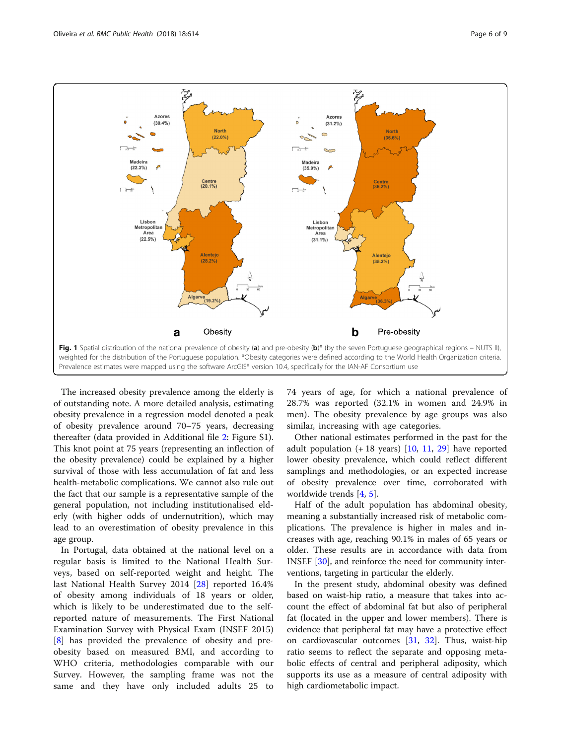<span id="page-5-0"></span>

The increased obesity prevalence among the elderly is of outstanding note. A more detailed analysis, estimating obesity prevalence in a regression model denoted a peak of obesity prevalence around 70–75 years, decreasing thereafter (data provided in Additional file [2:](#page-7-0) Figure S1). This knot point at 75 years (representing an inflection of the obesity prevalence) could be explained by a higher survival of those with less accumulation of fat and less health-metabolic complications. We cannot also rule out the fact that our sample is a representative sample of the general population, not including institutionalised elderly (with higher odds of undernutrition), which may lead to an overestimation of obesity prevalence in this age group.

In Portugal, data obtained at the national level on a regular basis is limited to the National Health Surveys, based on self-reported weight and height. The last National Health Survey 2014 [[28\]](#page-8-0) reported 16.4% of obesity among individuals of 18 years or older, which is likely to be underestimated due to the selfreported nature of measurements. The First National Examination Survey with Physical Exam (INSEF 2015) [[8\]](#page-8-0) has provided the prevalence of obesity and preobesity based on measured BMI, and according to WHO criteria, methodologies comparable with our Survey. However, the sampling frame was not the same and they have only included adults 25 to 74 years of age, for which a national prevalence of 28.7% was reported (32.1% in women and 24.9% in men). The obesity prevalence by age groups was also similar, increasing with age categories.

Other national estimates performed in the past for the adult population  $(+ 18 \text{ years})$  [[10](#page-8-0), [11](#page-8-0), [29](#page-8-0)] have reported lower obesity prevalence, which could reflect different samplings and methodologies, or an expected increase of obesity prevalence over time, corroborated with worldwide trends [[4,](#page-8-0) [5\]](#page-8-0).

Half of the adult population has abdominal obesity, meaning a substantially increased risk of metabolic complications. The prevalence is higher in males and increases with age, reaching 90.1% in males of 65 years or older. These results are in accordance with data from INSEF [\[30](#page-8-0)], and reinforce the need for community interventions, targeting in particular the elderly.

In the present study, abdominal obesity was defined based on waist-hip ratio, a measure that takes into account the effect of abdominal fat but also of peripheral fat (located in the upper and lower members). There is evidence that peripheral fat may have a protective effect on cardiovascular outcomes [[31,](#page-8-0) [32](#page-8-0)]. Thus, waist-hip ratio seems to reflect the separate and opposing metabolic effects of central and peripheral adiposity, which supports its use as a measure of central adiposity with high cardiometabolic impact.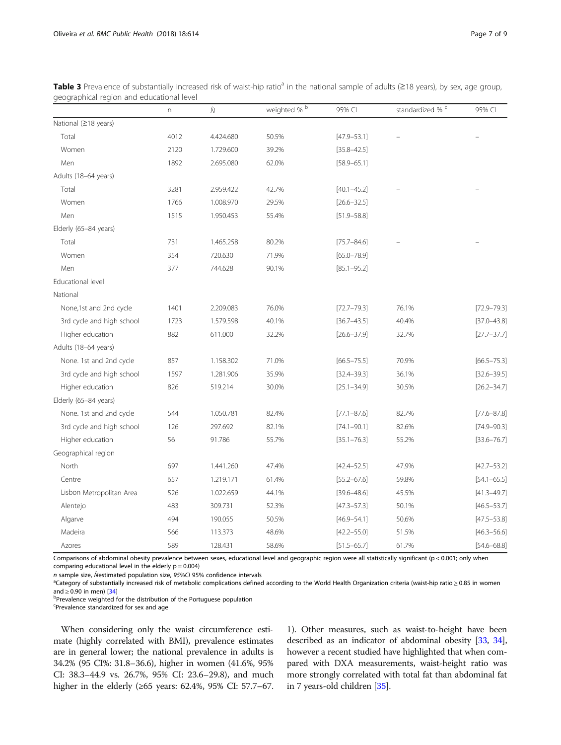|                           | n    | $\hat{N}$ | weighted % <sup>b</sup> | 95% CI          | standardized % c | 95% CI          |
|---------------------------|------|-----------|-------------------------|-----------------|------------------|-----------------|
| National (≥18 years)      |      |           |                         |                 |                  |                 |
| Total                     | 4012 | 4.424.680 | 50.5%                   | $[47.9 - 53.1]$ |                  |                 |
| Women                     | 2120 | 1.729.600 | 39.2%                   | $[35.8 - 42.5]$ |                  |                 |
| Men                       | 1892 | 2.695.080 | 62.0%                   | $[58.9 - 65.1]$ |                  |                 |
| Adults (18-64 years)      |      |           |                         |                 |                  |                 |
| Total                     | 3281 | 2.959.422 | 42.7%                   | $[40.1 - 45.2]$ |                  |                 |
| Women                     | 1766 | 1.008.970 | 29.5%                   | $[26.6 - 32.5]$ |                  |                 |
| Men                       | 1515 | 1.950.453 | 55.4%                   | $[51.9 - 58.8]$ |                  |                 |
| Elderly (65-84 years)     |      |           |                         |                 |                  |                 |
| Total                     | 731  | 1.465.258 | 80.2%                   | $[75.7 - 84.6]$ |                  |                 |
| Women                     | 354  | 720.630   | 71.9%                   | $[65.0 - 78.9]$ |                  |                 |
| Men                       | 377  | 744.628   | 90.1%                   | $[85.1 - 95.2]$ |                  |                 |
| Educational level         |      |           |                         |                 |                  |                 |
| National                  |      |           |                         |                 |                  |                 |
| None,1st and 2nd cycle    | 1401 | 2.209.083 | 76.0%                   | $[72.7 - 79.3]$ | 76.1%            | $[72.9 - 79.3]$ |
| 3rd cycle and high school | 1723 | 1.579.598 | 40.1%                   | $[36.7 - 43.5]$ | 40.4%            | $[37.0 - 43.8]$ |
| Higher education          | 882  | 611.000   | 32.2%                   | $[26.6 - 37.9]$ | 32.7%            | $[27.7 - 37.7]$ |
| Adults (18-64 years)      |      |           |                         |                 |                  |                 |
| None. 1st and 2nd cycle   | 857  | 1.158.302 | 71.0%                   | $[66.5 - 75.5]$ | 70.9%            | $[66.5 - 75.3]$ |
| 3rd cycle and high school | 1597 | 1.281.906 | 35.9%                   | $[32.4 - 39.3]$ | 36.1%            | $[32.6 - 39.5]$ |
| Higher education          | 826  | 519.214   | 30.0%                   | $[25.1 - 34.9]$ | 30.5%            | $[26.2 - 34.7]$ |
| Elderly (65-84 years)     |      |           |                         |                 |                  |                 |
| None. 1st and 2nd cycle   | 544  | 1.050.781 | 82.4%                   | $[77.1 - 87.6]$ | 82.7%            | $[77.6 - 87.8]$ |
| 3rd cycle and high school | 126  | 297.692   | 82.1%                   | $[74.1 - 90.1]$ | 82.6%            | $[74.9 - 90.3]$ |
| Higher education          | 56   | 91.786    | 55.7%                   | $[35.1 - 76.3]$ | 55.2%            | $[33.6 - 76.7]$ |
| Geographical region       |      |           |                         |                 |                  |                 |
| North                     | 697  | 1.441.260 | 47.4%                   | $[42.4 - 52.5]$ | 47.9%            | $[42.7 - 53.2]$ |
| Centre                    | 657  | 1.219.171 | 61.4%                   | $[55.2 - 67.6]$ | 59.8%            | $[54.1 - 65.5]$ |
| Lisbon Metropolitan Area  | 526  | 1.022.659 | 44.1%                   | $[39.6 - 48.6]$ | 45.5%            | $[41.3 - 49.7]$ |
| Alentejo                  | 483  | 309.731   | 52.3%                   | $[47.3 - 57.3]$ | 50.1%            | $[46.5 - 53.7]$ |
| Algarve                   | 494  | 190.055   | 50.5%                   | $[46.9 - 54.1]$ | 50.6%            | $[47.5 - 53.8]$ |
| Madeira                   | 566  | 113.373   | 48.6%                   | $[42.2 - 55.0]$ | 51.5%            | $[46.3 - 56.6]$ |
| Azores                    | 589  | 128.431   | 58.6%                   | $[51.5 - 65.7]$ | 61.7%            | $[54.6 - 68.8]$ |

<span id="page-6-0"></span>Table 3 Prevalence of substantially increased risk of waist-hip ratio<sup>a</sup> in the national sample of adults ( $\geq$ 18 years), by sex, age group, geographical region and educational level

Comparisons of abdominal obesity prevalence between sexes, educational level and geographic region were all statistically significant (p < 0.001; only when comparing educational level in the elderly  $p = 0.004$ )

n sample size,  $\hat{N}$ estimated population size, 95%CI 95% confidence intervals

<sup>a</sup>Category of substantially increased risk of metabolic complications defined according to the World Health Organization criteria (waist-hip ratio ≥ 0.85 in women and  $\geq$  0.90 in men) [[34\]](#page-8-0)

**PPrevalence weighted for the distribution of the Portuguese population** 

<sup>c</sup>Prevalence standardized for sex and age

When considering only the waist circumference estimate (highly correlated with BMI), prevalence estimates are in general lower; the national prevalence in adults is 34.2% (95 CI%: 31.8–36.6), higher in women (41.6%, 95% CI: 38.3–44.9 vs. 26.7%, 95% CI: 23.6–29.8), and much higher in the elderly (≥65 years: 62.4%, 95% CI: 57.7–67.

1). Other measures, such as waist-to-height have been described as an indicator of abdominal obesity [[33](#page-8-0), [34](#page-8-0)], however a recent studied have highlighted that when compared with DXA measurements, waist-height ratio was more strongly correlated with total fat than abdominal fat in 7 years-old children [\[35\]](#page-8-0).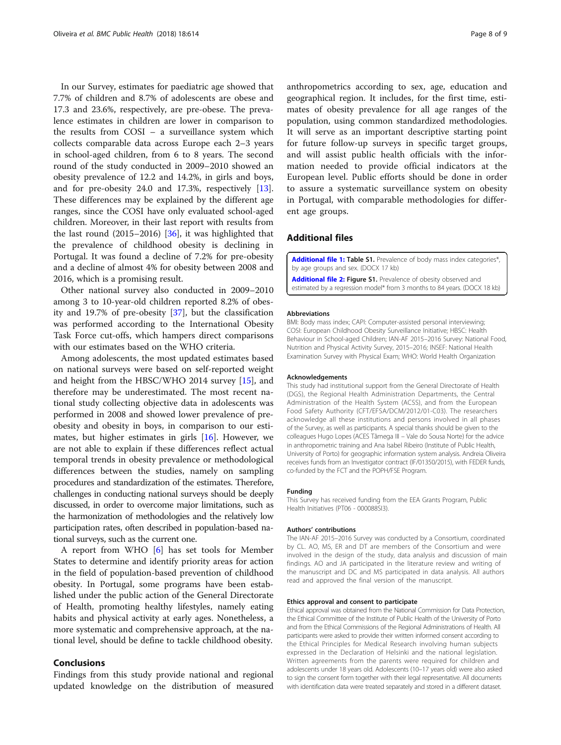<span id="page-7-0"></span>In our Survey, estimates for paediatric age showed that 7.7% of children and 8.7% of adolescents are obese and 17.3 and 23.6%, respectively, are pre-obese. The prevalence estimates in children are lower in comparison to the results from COSI – a surveillance system which collects comparable data across Europe each 2–3 years in school-aged children, from 6 to 8 years. The second round of the study conducted in 2009–2010 showed an obesity prevalence of 12.2 and 14.2%, in girls and boys, and for pre-obesity 24.0 and 17.3%, respectively [\[13](#page-8-0)]. These differences may be explained by the different age ranges, since the COSI have only evaluated school-aged children. Moreover, in their last report with results from the last round (2015–2016) [[36\]](#page-8-0), it was highlighted that the prevalence of childhood obesity is declining in Portugal. It was found a decline of 7.2% for pre-obesity and a decline of almost 4% for obesity between 2008 and 2016, which is a promising result.

Other national survey also conducted in 2009–2010 among 3 to 10-year-old children reported 8.2% of obesity and 19.7% of pre-obesity [[37\]](#page-8-0), but the classification was performed according to the International Obesity Task Force cut-offs, which hampers direct comparisons with our estimates based on the WHO criteria.

Among adolescents, the most updated estimates based on national surveys were based on self-reported weight and height from the HBSC/WHO 2014 survey [[15\]](#page-8-0), and therefore may be underestimated. The most recent national study collecting objective data in adolescents was performed in 2008 and showed lower prevalence of preobesity and obesity in boys, in comparison to our estimates, but higher estimates in girls [[16\]](#page-8-0). However, we are not able to explain if these differences reflect actual temporal trends in obesity prevalence or methodological differences between the studies, namely on sampling procedures and standardization of the estimates. Therefore, challenges in conducting national surveys should be deeply discussed, in order to overcome major limitations, such as the harmonization of methodologies and the relatively low participation rates, often described in population-based national surveys, such as the current one.

A report from WHO [[6](#page-8-0)] has set tools for Member States to determine and identify priority areas for action in the field of population-based prevention of childhood obesity. In Portugal, some programs have been established under the public action of the General Directorate of Health, promoting healthy lifestyles, namely eating habits and physical activity at early ages. Nonetheless, a more systematic and comprehensive approach, at the national level, should be define to tackle childhood obesity.

## Conclusions

Findings from this study provide national and regional updated knowledge on the distribution of measured anthropometrics according to sex, age, education and geographical region. It includes, for the first time, estimates of obesity prevalence for all age ranges of the population, using common standardized methodologies. It will serve as an important descriptive starting point for future follow-up surveys in specific target groups, and will assist public health officials with the information needed to provide official indicators at the European level. Public efforts should be done in order to assure a systematic surveillance system on obesity in Portugal, with comparable methodologies for different age groups.

## Additional files

[Additional file 1:](https://doi.org/10.1186/s12889-018-5480-z) Table S1. Prevalence of body mass index categories\*, by age groups and sex. (DOCX 17 kb)

[Additional file 2:](https://doi.org/10.1186/s12889-018-5480-z) Figure S1. Prevalence of obesity observed and estimated by a regression model\* from 3 months to 84 years. (DOCX 18 kb)

#### Abbreviations

BMI: Body mass index; CAPI: Computer-assisted personal interviewing; COSI: European Childhood Obesity Surveillance Initiative; HBSC: Health Behaviour in School-aged Children; IAN-AF 2015–2016 Survey: National Food, Nutrition and Physical Activity Survey, 2015–2016; INSEF: National Health Examination Survey with Physical Exam; WHO: World Health Organization

#### Acknowledgements

This study had institutional support from the General Directorate of Health (DGS), the Regional Health Administration Departments, the Central Administration of the Health System (ACSS), and from the European Food Safety Authority (CFT/EFSA/DCM/2012/01-C03). The researchers acknowledge all these institutions and persons involved in all phases of the Survey, as well as participants. A special thanks should be given to the colleagues Hugo Lopes (ACES Tâmega III – Vale do Sousa Norte) for the advice in anthropometric training and Ana Isabel Ribeiro (Institute of Public Health, University of Porto) for geographic information system analysis. Andreia Oliveira receives funds from an Investigator contract (IF/01350/2015), with FEDER funds, co-funded by the FCT and the POPH/FSE Program.

#### Funding

This Survey has received funding from the EEA Grants Program, Public Health Initiatives (PT06 - 000088SI3).

#### Authors' contributions

The IAN-AF 2015–2016 Survey was conducted by a Consortium, coordinated by CL. AO, MS, ER and DT are members of the Consortium and were involved in the design of the study, data analysis and discussion of main findings. AO and JA participated in the literature review and writing of the manuscript and DC and MS participated in data analysis. All authors read and approved the final version of the manuscript.

#### Ethics approval and consent to participate

Ethical approval was obtained from the National Commission for Data Protection, the Ethical Committee of the Institute of Public Health of the University of Porto and from the Ethical Commissions of the Regional Administrations of Health. All participants were asked to provide their written informed consent according to the Ethical Principles for Medical Research involving human subjects expressed in the Declaration of Helsinki and the national legislation. Written agreements from the parents were required for children and adolescents under 18 years old. Adolescents (10–17 years old) were also asked to sign the consent form together with their legal representative. All documents with identification data were treated separately and stored in a different dataset.